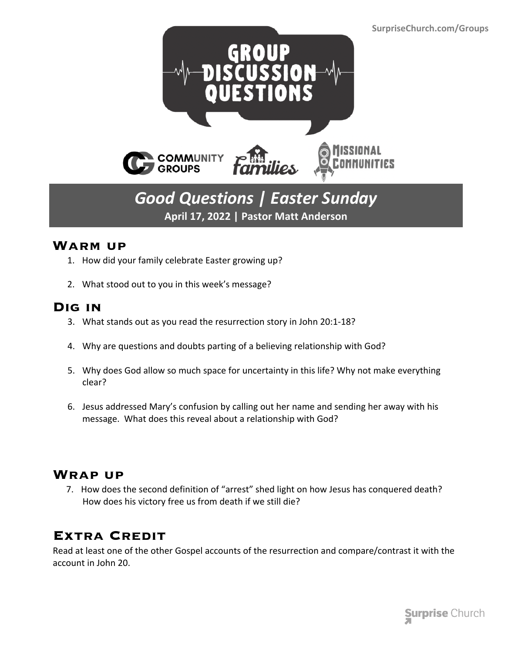

## *Good Questions | Easter Sunday* **April 17, 2022 | Pastor Matt Anderson**

#### **Warm up**

- 1. How did your family celebrate Easter growing up?
- 2. What stood out to you in this week's message?

#### **Dig in**

- 3. What stands out as you read the resurrection story in John 20:1-18?
- 4. Why are questions and doubts parting of a believing relationship with God?
- 5. Why does God allow so much space for uncertainty in this life? Why not make everything clear?
- 6. Jesus addressed Mary's confusion by calling out her name and sending her away with his message. What does this reveal about a relationship with God?

#### **Wrap up**

 7. How does the second definition of "arrest" shed light on how Jesus has conquered death? How does his victory free us from death if we still die?

### **Extra Credit**

Read at least one of the other Gospel accounts of the resurrection and compare/contrast it with the account in John 20.